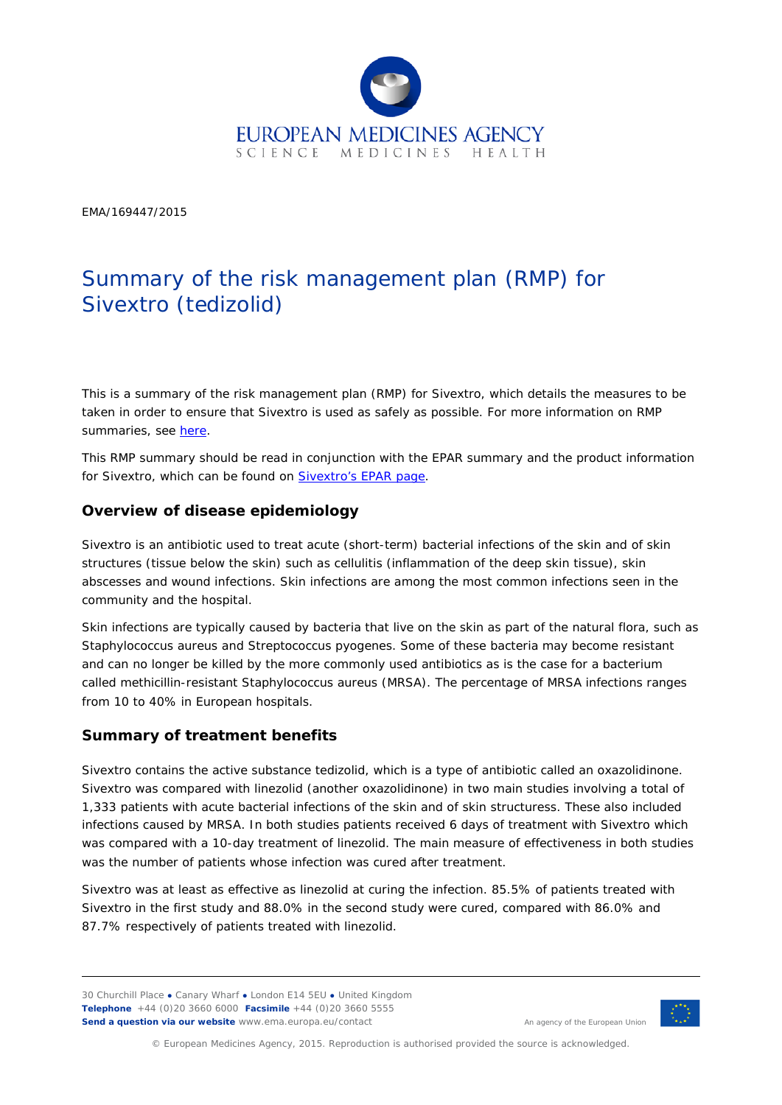

EMA/169447/2015

# Summary of the risk management plan (RMP) for Sivextro (tedizolid)

This is a summary of the risk management plan (RMP) for Sivextro, which details the measures to be taken in order to ensure that Sivextro is used as safely as possible. For more information on RMP summaries, see [here.](http://www.ema.europa.eu/docs/en_GB/document_library/Other/2014/05/WC500166101.pdf)

This RMP summary should be read in conjunction with the EPAR summary and the product information for Sivextro, which can be found on **Sivextro's EPAR page**.

## **Overview of disease epidemiology**

Sivextro is an antibiotic used to treat acute (short-term) bacterial infections of the skin and of skin structures (tissue below the skin) such as cellulitis (inflammation of the deep skin tissue), skin abscesses and wound infections. Skin infections are among the most common infections seen in the community and the hospital.

Skin infections are typically caused by bacteria that live on the skin as part of the natural flora, such as *[Staphylococcus aureus](http://en.wikipedia.org/wiki/Staphylococcus_aureus)* and S*[treptococcus pyogenes](http://en.wikipedia.org/wiki/Streptococcus_pyogenes)*. Some of these bacteria may become resistant and can no longer be killed by the more commonly used antibiotics as is the case for a bacterium called methicillin-resistant *[Staphylococcus aureus](http://en.wikipedia.org/wiki/Staphylococcus_aureus)* (MRSA). The percentage of MRSA infections ranges from 10 to 40% in European hospitals.

#### **Summary of treatment benefits**

Sivextro contains the active substance tedizolid, which is a type of antibiotic called an oxazolidinone. Sivextro was compared with linezolid (another oxazolidinone) in two main studies involving a total of 1,333 patients with acute bacterial infections of the skin and of skin structuress. These also included infections caused by MRSA. In both studies patients received 6 days of treatment with Sivextro which was compared with a 10-day treatment of linezolid. The main measure of effectiveness in both studies was the number of patients whose infection was cured after treatment.

Sivextro was at least as effective as linezolid at curing the infection. 85.5% of patients treated with Sivextro in the first study and 88.0% in the second study were cured, compared with 86.0% and 87.7% respectively of patients treated with linezolid.

30 Churchill Place **●** Canary Wharf **●** London E14 5EU **●** United Kingdom **Telephone** +44 (0)20 3660 6000 **Facsimile** +44 (0)20 3660 5555 **Send a question via our website** www.ema.europa.eu/contact



An agency of the European Union

© European Medicines Agency, 2015. Reproduction is authorised provided the source is acknowledged.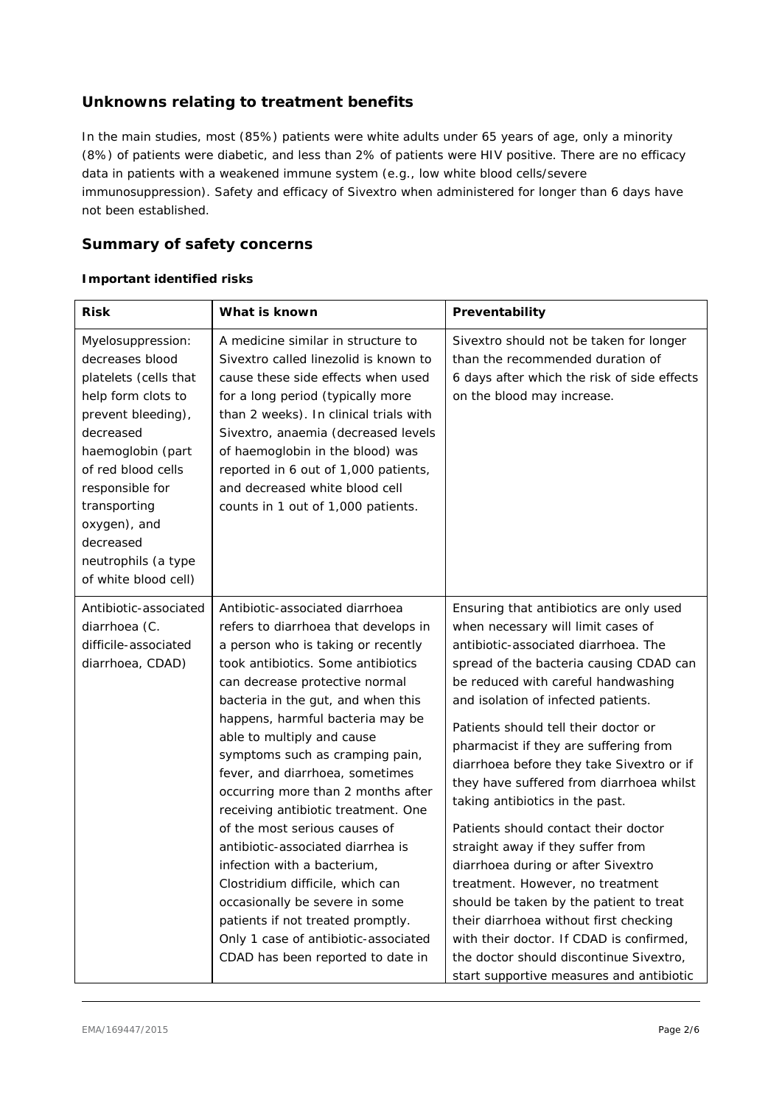## **Unknowns relating to treatment benefits**

In the main studies, most (85%) patients were white adults under 65 years of age, only a minority (8%) of patients were diabetic, and less than 2% of patients were HIV positive. There are no efficacy data in patients with a weakened immune system (e.g., low white blood cells/severe immunosuppression). Safety and efficacy of Sivextro when administered for longer than 6 days have not been established.

## **Summary of safety concerns**

#### *Important identified risks*

| <b>Risk</b>                                                                                                                                                                                                                                                                      | What is known                                                                                                                                                                                                                                                                                                                                                                                                                                                                                                                                                                                                                                                                                                                                 | Preventability                                                                                                                                                                                                                                                                                                                                                                                                                                                                                                                                                                                                                                                                                                                                                                                                                             |  |  |
|----------------------------------------------------------------------------------------------------------------------------------------------------------------------------------------------------------------------------------------------------------------------------------|-----------------------------------------------------------------------------------------------------------------------------------------------------------------------------------------------------------------------------------------------------------------------------------------------------------------------------------------------------------------------------------------------------------------------------------------------------------------------------------------------------------------------------------------------------------------------------------------------------------------------------------------------------------------------------------------------------------------------------------------------|--------------------------------------------------------------------------------------------------------------------------------------------------------------------------------------------------------------------------------------------------------------------------------------------------------------------------------------------------------------------------------------------------------------------------------------------------------------------------------------------------------------------------------------------------------------------------------------------------------------------------------------------------------------------------------------------------------------------------------------------------------------------------------------------------------------------------------------------|--|--|
| Myelosuppression:<br>decreases blood<br>platelets (cells that<br>help form clots to<br>prevent bleeding),<br>decreased<br>haemoglobin (part<br>of red blood cells<br>responsible for<br>transporting<br>oxygen), and<br>decreased<br>neutrophils (a type<br>of white blood cell) | A medicine similar in structure to<br>Sivextro called linezolid is known to<br>cause these side effects when used<br>for a long period (typically more<br>than 2 weeks). In clinical trials with<br>Sivextro, anaemia (decreased levels<br>of haemoglobin in the blood) was<br>reported in 6 out of 1,000 patients,<br>and decreased white blood cell<br>counts in 1 out of 1,000 patients.                                                                                                                                                                                                                                                                                                                                                   | Sivextro should not be taken for longer<br>than the recommended duration of<br>6 days after which the risk of side effects<br>on the blood may increase.                                                                                                                                                                                                                                                                                                                                                                                                                                                                                                                                                                                                                                                                                   |  |  |
| Antibiotic-associated<br>diarrhoea (C.<br>difficile-associated<br>diarrhoea, CDAD)                                                                                                                                                                                               | Antibiotic-associated diarrhoea<br>refers to diarrhoea that develops in<br>a person who is taking or recently<br>took antibiotics. Some antibiotics<br>can decrease protective normal<br>bacteria in the gut, and when this<br>happens, harmful bacteria may be<br>able to multiply and cause<br>symptoms such as cramping pain,<br>fever, and diarrhoea, sometimes<br>occurring more than 2 months after<br>receiving antibiotic treatment. One<br>of the most serious causes of<br>antibiotic-associated diarrhea is<br>infection with a bacterium,<br>Clostridium difficile, which can<br>occasionally be severe in some<br>patients if not treated promptly.<br>Only 1 case of antibiotic-associated<br>CDAD has been reported to date in | Ensuring that antibiotics are only used<br>when necessary will limit cases of<br>antibiotic-associated diarrhoea. The<br>spread of the bacteria causing CDAD can<br>be reduced with careful handwashing<br>and isolation of infected patients.<br>Patients should tell their doctor or<br>pharmacist if they are suffering from<br>diarrhoea before they take Sivextro or if<br>they have suffered from diarrhoea whilst<br>taking antibiotics in the past.<br>Patients should contact their doctor<br>straight away if they suffer from<br>diarrhoea during or after Sivextro<br>treatment. However, no treatment<br>should be taken by the patient to treat<br>their diarrhoea without first checking<br>with their doctor. If CDAD is confirmed,<br>the doctor should discontinue Sivextro,<br>start supportive measures and antibiotic |  |  |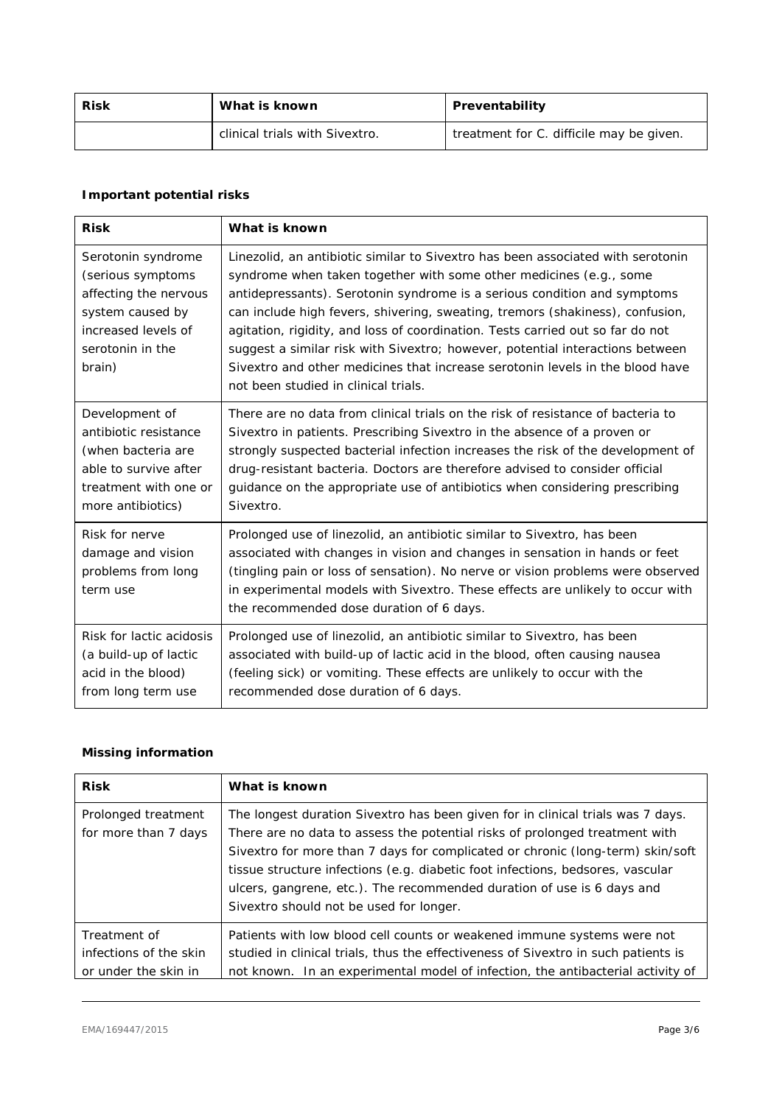| Risk | What is known                  | Preventability                           |  |  |
|------|--------------------------------|------------------------------------------|--|--|
|      | clinical trials with Sivextro. | treatment for C. difficile may be given. |  |  |

## *Important potential risks*

| <b>Risk</b>                                                                                                                               | What is known                                                                                                                                                                                                                                                                                                                                                                                                                                                                                                                                                                                                  |  |
|-------------------------------------------------------------------------------------------------------------------------------------------|----------------------------------------------------------------------------------------------------------------------------------------------------------------------------------------------------------------------------------------------------------------------------------------------------------------------------------------------------------------------------------------------------------------------------------------------------------------------------------------------------------------------------------------------------------------------------------------------------------------|--|
| Serotonin syndrome<br>(serious symptoms<br>affecting the nervous<br>system caused by<br>increased levels of<br>serotonin in the<br>brain) | Linezolid, an antibiotic similar to Sivextro has been associated with serotonin<br>syndrome when taken together with some other medicines (e.g., some<br>antidepressants). Serotonin syndrome is a serious condition and symptoms<br>can include high fevers, shivering, sweating, tremors (shakiness), confusion,<br>agitation, rigidity, and loss of coordination. Tests carried out so far do not<br>suggest a similar risk with Sivextro; however, potential interactions between<br>Sivextro and other medicines that increase serotonin levels in the blood have<br>not been studied in clinical trials. |  |
| Development of<br>antibiotic resistance<br>(when bacteria are<br>able to survive after<br>treatment with one or<br>more antibiotics)      | There are no data from clinical trials on the risk of resistance of bacteria to<br>Sivextro in patients. Prescribing Sivextro in the absence of a proven or<br>strongly suspected bacterial infection increases the risk of the development of<br>drug-resistant bacteria. Doctors are therefore advised to consider official<br>guidance on the appropriate use of antibiotics when considering prescribing<br>Sivextro.                                                                                                                                                                                      |  |
| Risk for nerve<br>damage and vision<br>problems from long<br>term use                                                                     | Prolonged use of linezolid, an antibiotic similar to Sivextro, has been<br>associated with changes in vision and changes in sensation in hands or feet<br>(tingling pain or loss of sensation). No nerve or vision problems were observed<br>in experimental models with Sivextro. These effects are unlikely to occur with<br>the recommended dose duration of 6 days.                                                                                                                                                                                                                                        |  |
| Risk for lactic acidosis<br>(a build-up of lactic<br>acid in the blood)<br>from long term use                                             | Prolonged use of linezolid, an antibiotic similar to Sivextro, has been<br>associated with build-up of lactic acid in the blood, often causing nausea<br>(feeling sick) or vomiting. These effects are unlikely to occur with the<br>recommended dose duration of 6 days.                                                                                                                                                                                                                                                                                                                                      |  |

#### *Missing information*

| <b>Risk</b>                                 | What is known                                                                                                                                                                                                                                                                                                                                                                                                                                           |
|---------------------------------------------|---------------------------------------------------------------------------------------------------------------------------------------------------------------------------------------------------------------------------------------------------------------------------------------------------------------------------------------------------------------------------------------------------------------------------------------------------------|
| Prolonged treatment<br>for more than 7 days | The longest duration Sivextro has been given for in clinical trials was 7 days.<br>There are no data to assess the potential risks of prolonged treatment with<br>Sivextro for more than 7 days for complicated or chronic (long-term) skin/soft<br>tissue structure infections (e.g. diabetic foot infections, bedsores, vascular<br>ulcers, gangrene, etc.). The recommended duration of use is 6 days and<br>Sivextro should not be used for longer. |
| Treatment of<br>infections of the skin      | Patients with low blood cell counts or weakened immune systems were not<br>studied in clinical trials, thus the effectiveness of Sivextro in such patients is                                                                                                                                                                                                                                                                                           |
| or under the skin in                        | not known. In an experimental model of infection, the antibacterial activity of                                                                                                                                                                                                                                                                                                                                                                         |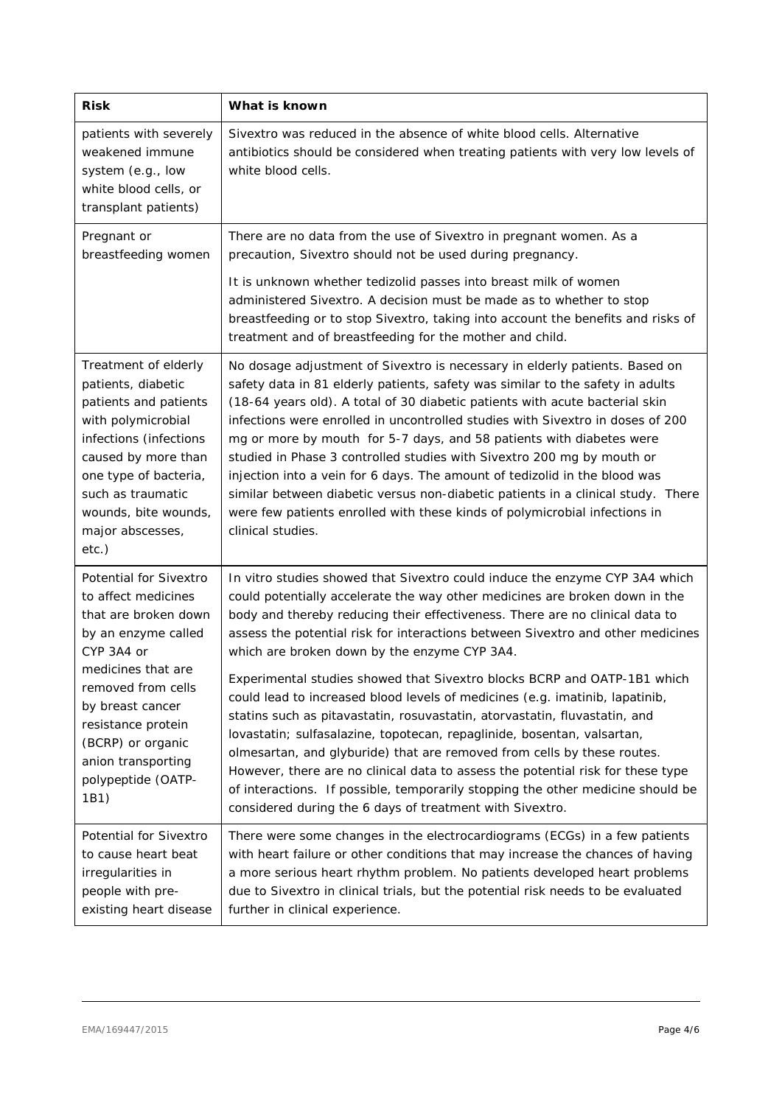| <b>Risk</b>                                                                                                                                                                                                                                                                      | What is known                                                                                                                                                                                                                                                                                                                                                                                                                                                                                                                                                                                                                                                                                                                                          |  |  |
|----------------------------------------------------------------------------------------------------------------------------------------------------------------------------------------------------------------------------------------------------------------------------------|--------------------------------------------------------------------------------------------------------------------------------------------------------------------------------------------------------------------------------------------------------------------------------------------------------------------------------------------------------------------------------------------------------------------------------------------------------------------------------------------------------------------------------------------------------------------------------------------------------------------------------------------------------------------------------------------------------------------------------------------------------|--|--|
| patients with severely<br>weakened immune<br>system (e.g., low<br>white blood cells, or<br>transplant patients)                                                                                                                                                                  | Sivextro was reduced in the absence of white blood cells. Alternative<br>antibiotics should be considered when treating patients with very low levels of<br>white blood cells.                                                                                                                                                                                                                                                                                                                                                                                                                                                                                                                                                                         |  |  |
| Pregnant or<br>breastfeeding women                                                                                                                                                                                                                                               | There are no data from the use of Sivextro in pregnant women. As a<br>precaution, Sivextro should not be used during pregnancy.                                                                                                                                                                                                                                                                                                                                                                                                                                                                                                                                                                                                                        |  |  |
|                                                                                                                                                                                                                                                                                  | It is unknown whether tedizolid passes into breast milk of women<br>administered Sivextro. A decision must be made as to whether to stop<br>breastfeeding or to stop Sivextro, taking into account the benefits and risks of<br>treatment and of breastfeeding for the mother and child.                                                                                                                                                                                                                                                                                                                                                                                                                                                               |  |  |
| Treatment of elderly<br>patients, diabetic<br>patients and patients<br>with polymicrobial<br>infections (infections<br>caused by more than<br>one type of bacteria,<br>such as traumatic<br>wounds, bite wounds,<br>major abscesses,<br>$etc.$ )                                 | No dosage adjustment of Sivextro is necessary in elderly patients. Based on<br>safety data in 81 elderly patients, safety was similar to the safety in adults<br>(18-64 years old). A total of 30 diabetic patients with acute bacterial skin<br>infections were enrolled in uncontrolled studies with Sivextro in doses of 200<br>mg or more by mouth for 5-7 days, and 58 patients with diabetes were<br>studied in Phase 3 controlled studies with Sivextro 200 mg by mouth or<br>injection into a vein for 6 days. The amount of tedizolid in the blood was<br>similar between diabetic versus non-diabetic patients in a clinical study. There<br>were few patients enrolled with these kinds of polymicrobial infections in<br>clinical studies. |  |  |
| <b>Potential for Sivextro</b><br>to affect medicines<br>that are broken down<br>by an enzyme called<br>CYP 3A4 or<br>medicines that are<br>removed from cells<br>by breast cancer<br>resistance protein<br>(BCRP) or organic<br>anion transporting<br>polypeptide (OATP-<br>1B1) | In vitro studies showed that Sivextro could induce the enzyme CYP 3A4 which<br>could potentially accelerate the way other medicines are broken down in the<br>body and thereby reducing their effectiveness. There are no clinical data to<br>assess the potential risk for interactions between Sivextro and other medicines<br>which are broken down by the enzyme CYP 3A4.                                                                                                                                                                                                                                                                                                                                                                          |  |  |
|                                                                                                                                                                                                                                                                                  | Experimental studies showed that Sivextro blocks BCRP and OATP-1B1 which<br>could lead to increased blood levels of medicines (e.g. imatinib, lapatinib,<br>statins such as pitavastatin, rosuvastatin, atorvastatin, fluvastatin, and<br>lovastatin; sulfasalazine, topotecan, repaglinide, bosentan, valsartan,<br>olmesartan, and glyburide) that are removed from cells by these routes.<br>However, there are no clinical data to assess the potential risk for these type<br>of interactions. If possible, temporarily stopping the other medicine should be<br>considered during the 6 days of treatment with Sivextro.                                                                                                                         |  |  |
| Potential for Sivextro<br>to cause heart beat<br>irregularities in<br>people with pre-<br>existing heart disease                                                                                                                                                                 | There were some changes in the electrocardiograms (ECGs) in a few patients<br>with heart failure or other conditions that may increase the chances of having<br>a more serious heart rhythm problem. No patients developed heart problems<br>due to Sivextro in clinical trials, but the potential risk needs to be evaluated<br>further in clinical experience.                                                                                                                                                                                                                                                                                                                                                                                       |  |  |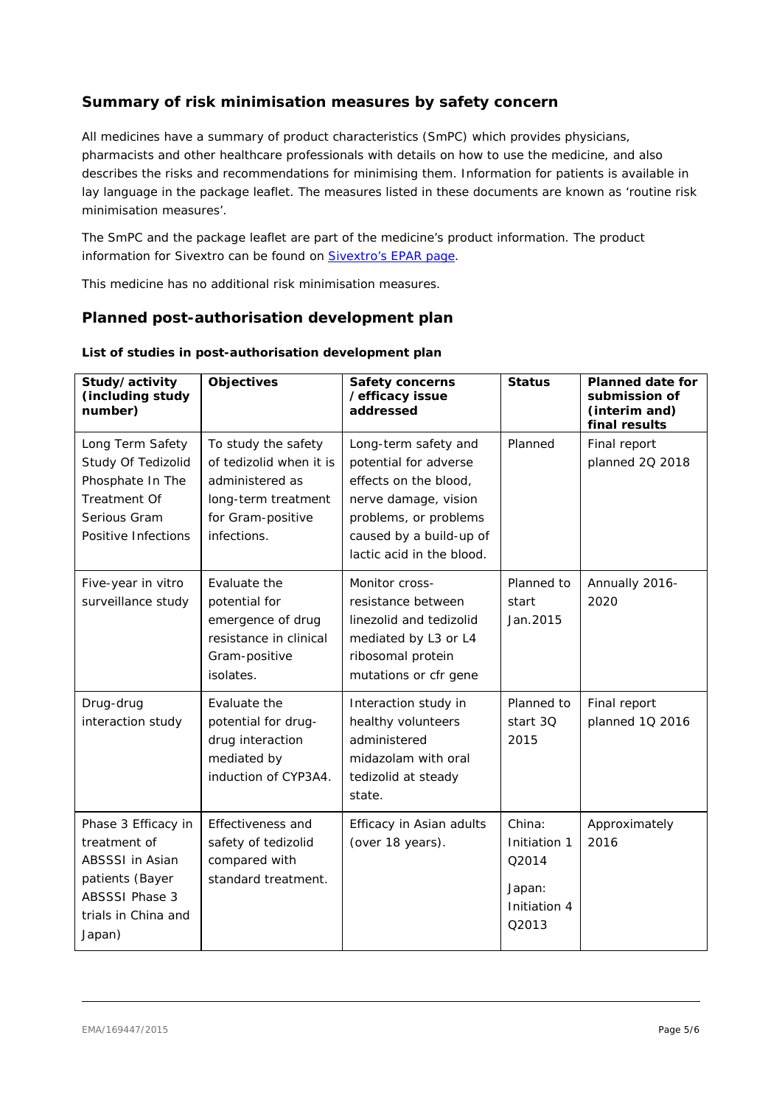## **Summary of risk minimisation measures by safety concern**

All medicines have a summary of product characteristics (SmPC) which provides physicians, pharmacists and other healthcare professionals with details on how to use the medicine, and also describes the risks and recommendations for minimising them. Information for patients is available in lay language in the package leaflet. The measures listed in these documents are known as 'routine risk minimisation measures'.

The SmPC and the package leaflet are part of the medicine's product information. The product information for Sivextro can be found on **Sivextro's EPAR page**.

This medicine has no additional risk minimisation measures.

## **Planned post-authorisation development plan**

| Study/activity<br>(including study<br>number)                                                                                              | <b>Objectives</b>                                                                                                            | <b>Safety concerns</b><br>/efficacy issue<br>addressed                                                                                                                          | <b>Status</b>                                                      | <b>Planned date for</b><br>submission of<br>(interim and)<br>final results |
|--------------------------------------------------------------------------------------------------------------------------------------------|------------------------------------------------------------------------------------------------------------------------------|---------------------------------------------------------------------------------------------------------------------------------------------------------------------------------|--------------------------------------------------------------------|----------------------------------------------------------------------------|
| Long Term Safety<br>Study Of Tedizolid<br>Phosphate In The<br>Treatment Of<br>Serious Gram<br>Positive Infections                          | To study the safety<br>of tedizolid when it is<br>administered as<br>long-term treatment<br>for Gram-positive<br>infections. | Long-term safety and<br>potential for adverse<br>effects on the blood,<br>nerve damage, vision<br>problems, or problems<br>caused by a build-up of<br>lactic acid in the blood. | Planned                                                            | Final report<br>planned 2Q 2018                                            |
| Five-year in vitro<br>surveillance study                                                                                                   | Evaluate the<br>potential for<br>emergence of drug<br>resistance in clinical<br>Gram-positive<br>isolates.                   | Monitor cross-<br>resistance between<br>linezolid and tedizolid<br>mediated by L3 or L4<br>ribosomal protein<br>mutations or cfr gene                                           | Planned to<br>start<br>Jan. 2015                                   | Annually 2016-<br>2020                                                     |
| Drug-drug<br>interaction study                                                                                                             | Evaluate the<br>potential for drug-<br>drug interaction<br>mediated by<br>induction of CYP3A4.                               | Interaction study in<br>healthy volunteers<br>administered<br>midazolam with oral<br>tedizolid at steady<br>state.                                                              | Planned to<br>start 30<br>2015                                     | Final report<br>planned 1Q 2016                                            |
| Phase 3 Efficacy in<br>treatment of<br><b>ABSSSI in Asian</b><br>patients (Bayer<br><b>ABSSSI Phase 3</b><br>trials in China and<br>Japan) | Effectiveness and<br>safety of tedizolid<br>compared with<br>standard treatment.                                             | Efficacy in Asian adults<br>(over 18 years).                                                                                                                                    | China:<br>Initiation 1<br>O2014<br>Japan:<br>Initiation 4<br>Q2013 | Approximately<br>2016                                                      |

#### *List of studies in post-authorisation development plan*